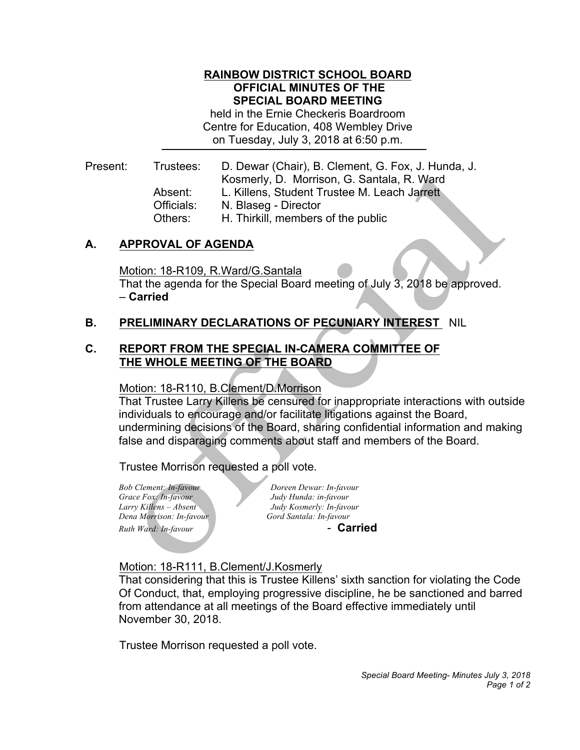## **RAINBOW DISTRICT SCHOOL BOARD OFFICIAL MINUTES OF THE SPECIAL BOARD MEETING**

 held in the Ernie Checkeris Boardroom Centre for Education, 408 Wembley Drive on Tuesday, July 3, 2018 at 6:50 p.m.

Trustees: Kosmerly, D. Morrison, G. Santala, R. Ward Absent: Present: Trustees: D. Dewar (Chair), B. Clement, G. Fox, J. Hunda, J. L. Killens, Student Trustee M. Leach Jarrett Officials: N. Blaseg - Director Others: H. Thirkill, members of the public

# **A. APPROVAL OF AGENDA**

 That the agenda for the Special Board meeting of July 3, 2018 be approved. Motion: 18-R109, R.Ward/G.Santala – **Carried** 

# **B. PRELIMINARY DECLARATIONS OF PECUNIARY INTEREST** NIL

# **C. REPORT FROM THE SPECIAL IN-CAMERA COMMITTEE OF THE WHOLE MEETING OF THE BOARD**

### Motion: 18-R110, B.Clement/D.Morrison

 That Trustee Larry Killens be censured for inappropriate interactions with outside individuals to encourage and/or facilitate litigations against the Board, undermining decisions of the Board, sharing confidential information and making false and disparaging comments about staff and members of the Board.

Trustee Morrison requested a poll vote.

*Bob Clement: In-favour Grace Fox: In-favour* Larry Killens - Absent *Dena Morrison: In-favour* **Gord Santala: In-favour** *Ruth Ward: In-favour* and *Ruth Ward: In-favour* 

*Bob Clement: In-favour Doreen Dewar: In-favour Grace Fox: In-favour Judy Hunda: in-favour Larry Killens – Absent Judy Kosmerly: In-favour* 

## Motion: 18-R111, B.Clement/J.Kosmerly

 That considering that this is Trustee Killens' sixth sanction for violating the Code Of Conduct, that, employing progressive discipline, he be sanctioned and barred from attendance at all meetings of the Board effective immediately until November 30, 2018.

November 30, 2018.<br>Trustee Morrison requested a poll vote.